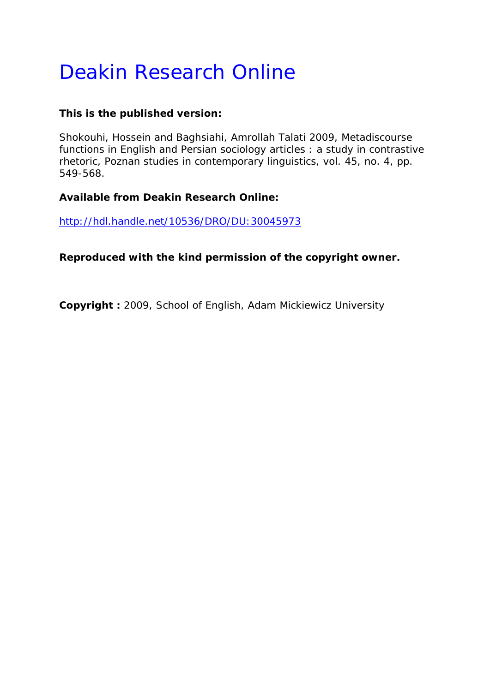# Deakin Research Online

# **This is the published version:**

Shokouhi, Hossein and Baghsiahi, Amrollah Talati 2009, Metadiscourse functions in English and Persian sociology articles : a study in contrastive rhetoric*, Poznan studies in contemporary linguistics*, vol. 45, no. 4, pp. 549-568.

# **Available from Deakin Research Online:**

http://hdl.handle.net/10536/DRO/DU:30045973

**Reproduced with the kind permission of the copyright owner.** 

**Copyright :** 2009, School of English, Adam Mickiewicz University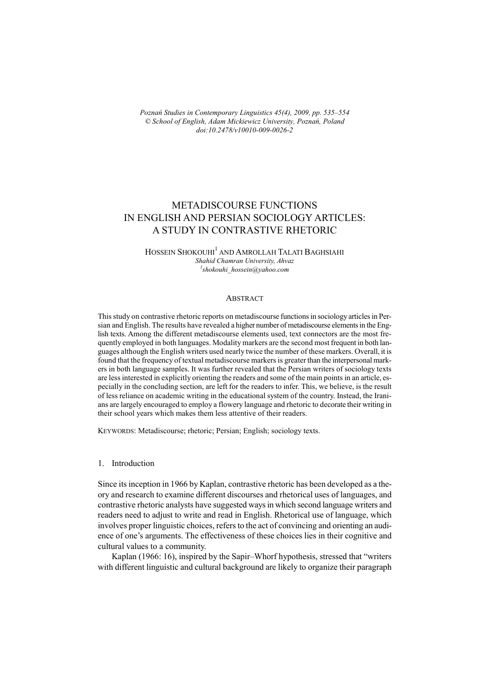*Poznań Studies in Contemporary Linguistics 45(4), 2009, pp. 535–554 © School of English, Adam Mickiewicz University, Poznań, Poland doi:10.2478/v10010-009-0026-2* 

# METADISCOURSE FUNCTIONS IN ENGLISH AND PERSIAN SOCIOLOGY ARTICLES: A STUDY IN CONTRASTIVE RHETORIC

HOSSEIN SHOKOUHI<sup>1</sup> AND AMROLLAH TALATI BAGHSIAHI *Shahid Chamran University, Ahvaz 1 shokouhi\_hossein@yahoo.com* 

### **ABSTRACT**

This study on contrastive rhetoric reports on metadiscourse functions in sociology articles in Persian and English. The results have revealed a higher number of metadiscourse elements in the English texts. Among the different metadiscourse elements used, text connectors are the most frequently employed in both languages. Modality markers are the second most frequent in both languages although the English writers used nearly twice the number of these markers. Overall, it is found that the frequency of textual metadiscourse markers is greater than the interpersonal markers in both language samples. It was further revealed that the Persian writers of sociology texts are less interested in explicitly orienting the readers and some of the main points in an article, especially in the concluding section, are left for the readers to infer. This, we believe, is the result of less reliance on academic writing in the educational system of the country. Instead, the Iranians are largely encouraged to employ a flowery language and rhetoric to decorate their writing in their school years which makes them less attentive of their readers.

KEYWORDS: Metadiscourse; rhetoric; Persian; English; sociology texts.

# 1. Introduction

Since its inception in 1966 by Kaplan, contrastive rhetoric has been developed as a theory and research to examine different discourses and rhetorical uses of languages, and contrastive rhetoric analysts have suggested ways in which second language writers and readers need to adjust to write and read in English. Rhetorical use of language, which involves proper linguistic choices, refers to the act of convincing and orienting an audience of one's arguments. The effectiveness of these choices lies in their cognitive and cultural values to a community.

Kaplan (1966: 16), inspired by the Sapir–Whorf hypothesis, stressed that "writers with different linguistic and cultural background are likely to organize their paragraph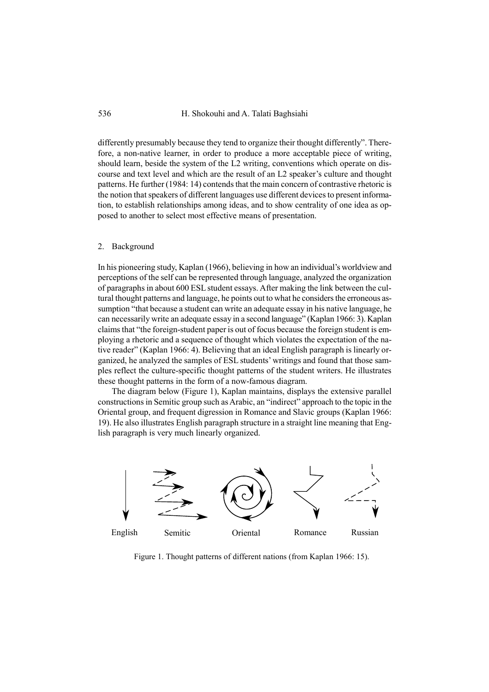differently presumably because they tend to organize their thought differently". Therefore, a non-native learner, in order to produce a more acceptable piece of writing, should learn, beside the system of the L2 writing, conventions which operate on discourse and text level and which are the result of an L2 speaker's culture and thought patterns. He further (1984: 14) contends that the main concern of contrastive rhetoric is the notion that speakers of different languages use different devices to present information, to establish relationships among ideas, and to show centrality of one idea as opposed to another to select most effective means of presentation.

## 2. Background

In his pioneering study, Kaplan (1966), believing in how an individual's worldview and perceptions of the self can be represented through language, analyzed the organization of paragraphs in about 600 ESL student essays. After making the link between the cultural thought patterns and language, he points out to what he considers the erroneous assumption "that because a student can write an adequate essay in his native language, he can necessarily write an adequate essay in a second language" (Kaplan 1966: 3). Kaplan claims that "the foreign-student paper is out of focus because the foreign student is employing a rhetoric and a sequence of thought which violates the expectation of the native reader" (Kaplan 1966: 4). Believing that an ideal English paragraph is linearly organized, he analyzed the samples of ESL students' writings and found that those samples reflect the culture-specific thought patterns of the student writers. He illustrates these thought patterns in the form of a now-famous diagram.

The diagram below (Figure 1), Kaplan maintains, displays the extensive parallel constructions in Semitic group such as Arabic, an "indirect" approach to the topic in the Oriental group, and frequent digression in Romance and Slavic groups (Kaplan 1966: 19). He also illustrates English paragraph structure in a straight line meaning that English paragraph is very much linearly organized.



Figure 1. Thought patterns of different nations (from Kaplan 1966: 15).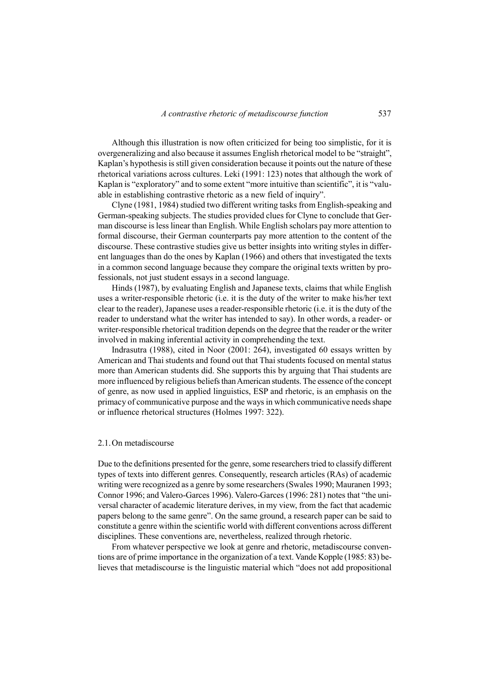Although this illustration is now often criticized for being too simplistic, for it is overgeneralizing and also because it assumes English rhetorical model to be "straight", Kaplan's hypothesis is still given consideration because it points out the nature of these rhetorical variations across cultures. Leki (1991: 123) notes that although the work of Kaplan is "exploratory" and to some extent "more intuitive than scientific", it is "valuable in establishing contrastive rhetoric as a new field of inquiry".

Clyne (1981, 1984) studied two different writing tasks from English-speaking and German-speaking subjects. The studies provided clues for Clyne to conclude that German discourse is less linear than English. While English scholars pay more attention to formal discourse, their German counterparts pay more attention to the content of the discourse. These contrastive studies give us better insights into writing styles in different languages than do the ones by Kaplan (1966) and others that investigated the texts in a common second language because they compare the original texts written by professionals, not just student essays in a second language.

Hinds (1987), by evaluating English and Japanese texts, claims that while English uses a writer-responsible rhetoric (i.e. it is the duty of the writer to make his/her text clear to the reader), Japanese uses a reader-responsible rhetoric (i.e. it is the duty of the reader to understand what the writer has intended to say). In other words, a reader- or writer-responsible rhetorical tradition depends on the degree that the reader or the writer involved in making inferential activity in comprehending the text.

Indrasutra (1988), cited in Noor (2001: 264), investigated 60 essays written by American and Thai students and found out that Thai students focused on mental status more than American students did. She supports this by arguing that Thai students are more influenced by religious beliefs than American students. The essence of the concept of genre, as now used in applied linguistics, ESP and rhetoric, is an emphasis on the primacy of communicative purpose and the ways in which communicative needs shape or influence rhetorical structures (Holmes 1997: 322).

#### 2.1. On metadiscourse

Due to the definitions presented for the genre, some researchers tried to classify different types of texts into different genres. Consequently, research articles (RAs) of academic writing were recognized as a genre by some researchers (Swales 1990; Mauranen 1993; Connor 1996; and Valero-Garces 1996). Valero-Garces (1996: 281) notes that "the universal character of academic literature derives, in my view, from the fact that academic papers belong to the same genre". On the same ground, a research paper can be said to constitute a genre within the scientific world with different conventions across different disciplines. These conventions are, nevertheless, realized through rhetoric.

From whatever perspective we look at genre and rhetoric, metadiscourse conventions are of prime importance in the organization of a text. Vande Kopple (1985: 83) believes that metadiscourse is the linguistic material which "does not add propositional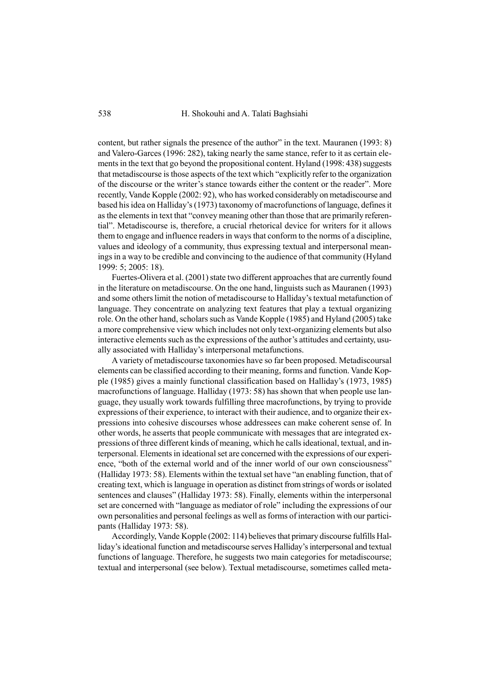content, but rather signals the presence of the author" in the text. Mauranen (1993: 8) and Valero-Garces (1996: 282), taking nearly the same stance, refer to it as certain elements in the text that go beyond the propositional content. Hyland (1998: 438) suggests that metadiscourse is those aspects of the text which "explicitly refer to the organization of the discourse or the writer's stance towards either the content or the reader". More recently, Vande Kopple (2002: 92), who has worked considerably on metadiscourse and based his idea on Halliday's (1973) taxonomy of macrofunctions of language, defines it as the elements in text that "convey meaning other than those that are primarily referential". Metadiscourse is, therefore, a crucial rhetorical device for writers for it allows them to engage and influence readers in ways that conform to the norms of a discipline, values and ideology of a community, thus expressing textual and interpersonal meanings in a way to be credible and convincing to the audience of that community (Hyland 1999: 5; 2005: 18).

Fuertes-Olivera et al. (2001) state two different approaches that are currently found in the literature on metadiscourse. On the one hand, linguists such as Mauranen (1993) and some others limit the notion of metadiscourse to Halliday's textual metafunction of language. They concentrate on analyzing text features that play a textual organizing role. On the other hand, scholars such as Vande Kopple (1985) and Hyland (2005) take a more comprehensive view which includes not only text-organizing elements but also interactive elements such as the expressions of the author's attitudes and certainty, usually associated with Halliday's interpersonal metafunctions.

A variety of metadiscourse taxonomies have so far been proposed. Metadiscoursal elements can be classified according to their meaning, forms and function. Vande Kopple (1985) gives a mainly functional classification based on Halliday's (1973, 1985) macrofunctions of language. Halliday (1973: 58) has shown that when people use language, they usually work towards fulfilling three macrofunctions, by trying to provide expressions of their experience, to interact with their audience, and to organize their expressions into cohesive discourses whose addressees can make coherent sense of. In other words, he asserts that people communicate with messages that are integrated expressions of three different kinds of meaning, which he calls ideational, textual, and interpersonal. Elements in ideational set are concerned with the expressions of our experience, "both of the external world and of the inner world of our own consciousness" (Halliday 1973: 58). Elements within the textual set have "an enabling function, that of creating text, which is language in operation as distinct from strings of words or isolated sentences and clauses" (Halliday 1973: 58). Finally, elements within the interpersonal set are concerned with "language as mediator of role" including the expressions of our own personalities and personal feelings as well as forms of interaction with our participants (Halliday 1973: 58).

Accordingly, Vande Kopple (2002: 114) believes that primary discourse fulfills Halliday's ideational function and metadiscourse serves Halliday's interpersonal and textual functions of language. Therefore, he suggests two main categories for metadiscourse; textual and interpersonal (see below). Textual metadiscourse, sometimes called meta-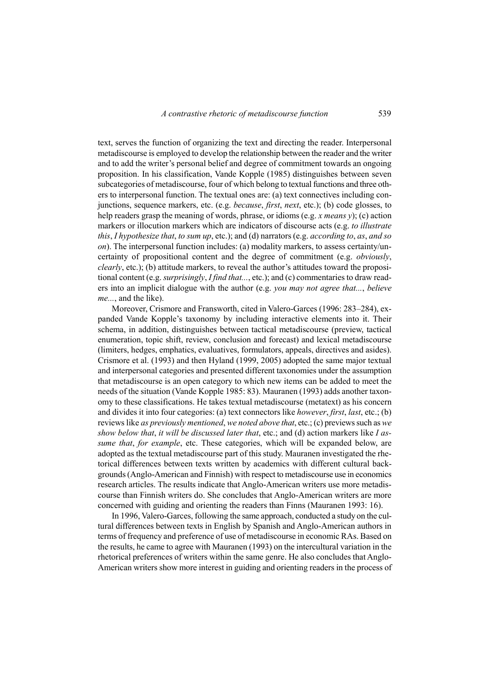text, serves the function of organizing the text and directing the reader. Interpersonal metadiscourse is employed to develop the relationship between the reader and the writer and to add the writer's personal belief and degree of commitment towards an ongoing proposition. In his classification, Vande Kopple (1985) distinguishes between seven subcategories of metadiscourse, four of which belong to textual functions and three others to interpersonal function. The textual ones are: (a) text connectives including conjunctions, sequence markers, etc. (e.g. *because*, *first*, *next*, etc.); (b) code glosses, to help readers grasp the meaning of words, phrase, or idioms (e.g. *x means y*); (c) action markers or illocution markers which are indicators of discourse acts (e.g. *to illustrate this*, *I hypothesize that*, *to sum up*, etc.); and (d) narrators (e.g. *according to*, *as*, *and so on*). The interpersonal function includes: (a) modality markers, to assess certainty/uncertainty of propositional content and the degree of commitment (e.g. *obviously*, *clearly*, etc.); (b) attitude markers, to reveal the author's attitudes toward the propositional content (e.g. *surprisingly*, *I find that...*, etc.); and (c) commentaries to draw readers into an implicit dialogue with the author (e.g. *you may not agree that...*, *believe me...*, and the like).

Moreover, Crismore and Fransworth, cited in Valero-Garces (1996: 283–284), expanded Vande Kopple's taxonomy by including interactive elements into it. Their schema, in addition, distinguishes between tactical metadiscourse (preview, tactical enumeration, topic shift, review, conclusion and forecast) and lexical metadiscourse (limiters, hedges, emphatics, evaluatives, formulators, appeals, directives and asides). Crismore et al. (1993) and then Hyland (1999, 2005) adopted the same major textual and interpersonal categories and presented different taxonomies under the assumption that metadiscourse is an open category to which new items can be added to meet the needs of the situation (Vande Kopple 1985: 83). Mauranen (1993) adds another taxonomy to these classifications. He takes textual metadiscourse (metatext) as his concern and divides it into four categories: (a) text connectors like *however*, *first*, *last*, etc.; (b) reviews like *as previously mentioned*, *we noted above that*, etc.; (c) previews such as *we show below that*, *it will be discussed later that*, etc.; and (d) action markers like *I assume that*, *for example*, etc. These categories, which will be expanded below, are adopted as the textual metadiscourse part of this study. Mauranen investigated the rhetorical differences between texts written by academics with different cultural backgrounds (Anglo-American and Finnish) with respect to metadiscourse use in economics research articles. The results indicate that Anglo-American writers use more metadiscourse than Finnish writers do. She concludes that Anglo-American writers are more concerned with guiding and orienting the readers than Finns (Mauranen 1993: 16).

In 1996, Valero-Garces, following the same approach, conducted a study on the cultural differences between texts in English by Spanish and Anglo-American authors in terms of frequency and preference of use of metadiscourse in economic RAs. Based on the results, he came to agree with Mauranen (1993) on the intercultural variation in the rhetorical preferences of writers within the same genre. He also concludes that Anglo-American writers show more interest in guiding and orienting readers in the process of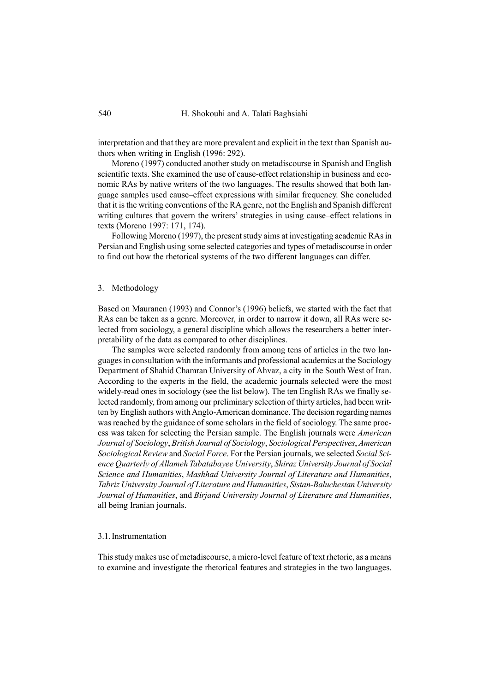interpretation and that they are more prevalent and explicit in the text than Spanish authors when writing in English (1996: 292).

Moreno (1997) conducted another study on metadiscourse in Spanish and English scientific texts. She examined the use of cause-effect relationship in business and economic RAs by native writers of the two languages. The results showed that both language samples used cause–effect expressions with similar frequency. She concluded that it is the writing conventions of the RA genre, not the English and Spanish different writing cultures that govern the writers' strategies in using cause–effect relations in texts (Moreno 1997: 171, 174).

Following Moreno (1997), the present study aims at investigating academic RAs in Persian and English using some selected categories and types of metadiscourse in order to find out how the rhetorical systems of the two different languages can differ.

#### 3. Methodology

Based on Mauranen (1993) and Connor's (1996) beliefs, we started with the fact that RAs can be taken as a genre. Moreover, in order to narrow it down, all RAs were selected from sociology, a general discipline which allows the researchers a better interpretability of the data as compared to other disciplines.

The samples were selected randomly from among tens of articles in the two languages in consultation with the informants and professional academics at the Sociology Department of Shahid Chamran University of Ahvaz, a city in the South West of Iran. According to the experts in the field, the academic journals selected were the most widely-read ones in sociology (see the list below). The ten English RAs we finally selected randomly, from among our preliminary selection of thirty articles, had been written by English authors with Anglo-American dominance. The decision regarding names was reached by the guidance of some scholars in the field of sociology. The same process was taken for selecting the Persian sample. The English journals were *American Journal of Sociology*, *British Journal of Sociology*, *Sociological Perspectives*, *American Sociological Review* and *Social Force*. For the Persian journals, we selected *Social Science Quarterly of Allameh Tabatabayee University*, *Shiraz University Journal of Social Science and Humanities*, *Mashhad University Journal of Literature and Humanities*, *Tabriz University Journal of Literature and Humanities*, *Sistan-Baluchestan University Journal of Humanities*, and *Birjand University Journal of Literature and Humanities*, all being Iranian journals.

### 3.1. Instrumentation

This study makes use of metadiscourse, a micro-level feature of text rhetoric, as a means to examine and investigate the rhetorical features and strategies in the two languages.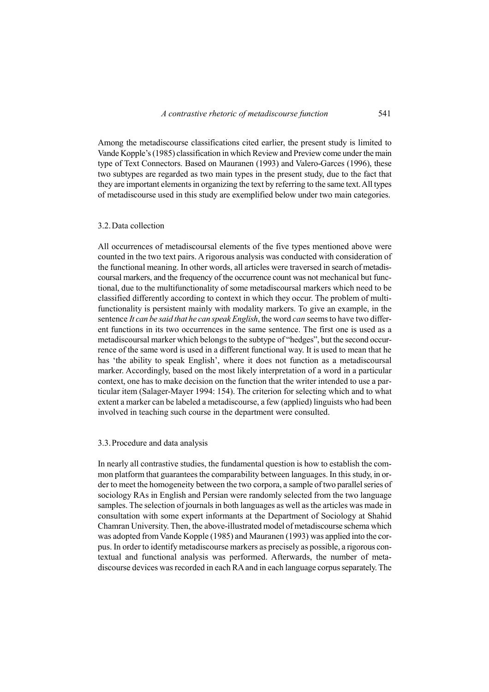Among the metadiscourse classifications cited earlier, the present study is limited to Vande Kopple's (1985) classification in which Review and Preview come under the main type of Text Connectors. Based on Mauranen (1993) and Valero-Garces (1996), these two subtypes are regarded as two main types in the present study, due to the fact that they are important elements in organizing the text by referring to the same text. All types of metadiscourse used in this study are exemplified below under two main categories.

#### 3.2. Data collection

All occurrences of metadiscoursal elements of the five types mentioned above were counted in the two text pairs. A rigorous analysis was conducted with consideration of the functional meaning. In other words, all articles were traversed in search of metadiscoursal markers, and the frequency of the occurrence count was not mechanical but functional, due to the multifunctionality of some metadiscoursal markers which need to be classified differently according to context in which they occur. The problem of multifunctionality is persistent mainly with modality markers. To give an example, in the sentence *It can be said that he can speak English*, the word *can* seems to have two different functions in its two occurrences in the same sentence. The first one is used as a metadiscoursal marker which belongs to the subtype of "hedges", but the second occurrence of the same word is used in a different functional way. It is used to mean that he has 'the ability to speak English', where it does not function as a metadiscoursal marker. Accordingly, based on the most likely interpretation of a word in a particular context, one has to make decision on the function that the writer intended to use a particular item (Salager-Mayer 1994: 154). The criterion for selecting which and to what extent a marker can be labeled a metadiscourse, a few (applied) linguists who had been involved in teaching such course in the department were consulted.

#### 3.3. Procedure and data analysis

In nearly all contrastive studies, the fundamental question is how to establish the common platform that guarantees the comparability between languages. In this study, in order to meet the homogeneity between the two corpora, a sample of two parallel series of sociology RAs in English and Persian were randomly selected from the two language samples. The selection of journals in both languages as well as the articles was made in consultation with some expert informants at the Department of Sociology at Shahid Chamran University. Then, the above-illustrated model of metadiscourse schema which was adopted from Vande Kopple (1985) and Mauranen (1993) was applied into the corpus. In order to identify metadiscourse markers as precisely as possible, a rigorous contextual and functional analysis was performed. Afterwards, the number of metadiscourse devices was recorded in each RA and in each language corpus separately. The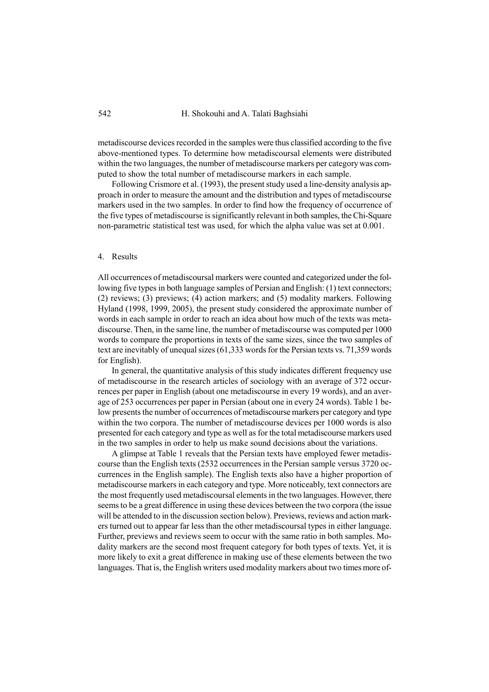metadiscourse devices recorded in the samples were thus classified according to the five above-mentioned types. To determine how metadiscoursal elements were distributed within the two languages, the number of metadiscourse markers per category was computed to show the total number of metadiscourse markers in each sample.

Following Crismore et al. (1993), the present study used a line-density analysis approach in order to measure the amount and the distribution and types of metadiscourse markers used in the two samples. In order to find how the frequency of occurrence of the five types of metadiscourse is significantly relevant in both samples, the Chi-Square non-parametric statistical test was used, for which the alpha value was set at 0.001.

#### 4. Results

All occurrences of metadiscoursal markers were counted and categorized under the following five types in both language samples of Persian and English: (1) text connectors; (2) reviews; (3) previews; (4) action markers; and (5) modality markers. Following Hyland (1998, 1999, 2005), the present study considered the approximate number of words in each sample in order to reach an idea about how much of the texts was metadiscourse. Then, in the same line, the number of metadiscourse was computed per 1000 words to compare the proportions in texts of the same sizes, since the two samples of text are inevitably of unequal sizes (61,333 words for the Persian texts vs. 71,359 words for English).

In general, the quantitative analysis of this study indicates different frequency use of metadiscourse in the research articles of sociology with an average of 372 occurrences per paper in English (about one metadiscourse in every 19 words), and an average of 253 occurrences per paper in Persian (about one in every 24 words). Table 1 below presents the number of occurrences of metadiscourse markers per category and type within the two corpora. The number of metadiscourse devices per 1000 words is also presented for each category and type as well as for the total metadiscourse markers used in the two samples in order to help us make sound decisions about the variations.

A glimpse at Table 1 reveals that the Persian texts have employed fewer metadiscourse than the English texts (2532 occurrences in the Persian sample versus 3720 occurrences in the English sample). The English texts also have a higher proportion of metadiscourse markers in each category and type. More noticeably, text connectors are the most frequently used metadiscoursal elements in the two languages. However, there seems to be a great difference in using these devices between the two corpora (the issue will be attended to in the discussion section below). Previews, reviews and action markers turned out to appear far less than the other metadiscoursal types in either language. Further, previews and reviews seem to occur with the same ratio in both samples. Modality markers are the second most frequent category for both types of texts. Yet, it is more likely to exit a great difference in making use of these elements between the two languages. That is, the English writers used modality markers about two times more of-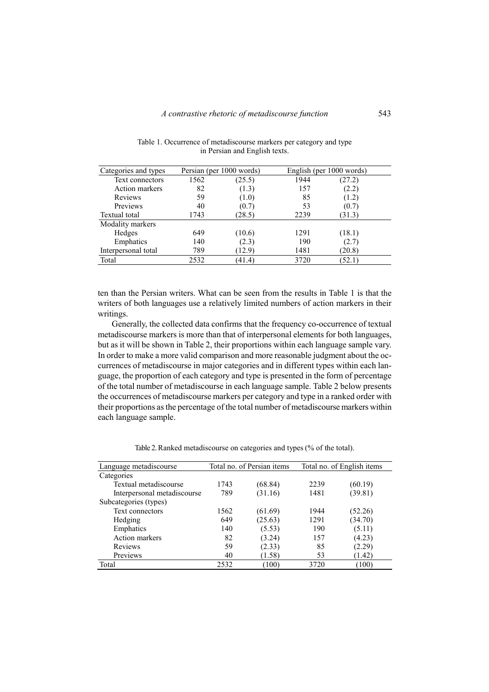| Categories and types |      | Persian (per 1000 words) |      | English (per 1000 words) |
|----------------------|------|--------------------------|------|--------------------------|
| Text connectors      | 1562 | (25.5)                   | 1944 | (27.2)                   |
| Action markers       | 82   | (1.3)                    | 157  | (2.2)                    |
| Reviews              | 59   | (1.0)                    | 85   | (1.2)                    |
| Previews             | 40   | (0.7)                    | 53   | (0.7)                    |
| Textual total        | 1743 | (28.5)                   | 2239 | (31.3)                   |
| Modality markers     |      |                          |      |                          |
| Hedges               | 649  | (10.6)                   | 1291 | (18.1)                   |
| Emphatics            | 140  | (2.3)                    | 190  | (2.7)                    |
| Interpersonal total  | 789  | (12.9)                   | 1481 | (20.8)                   |
| Total                | 2532 | (41.4)                   | 3720 | (52.1)                   |

Table 1. Occurrence of metadiscourse markers per category and type in Persian and English texts.

ten than the Persian writers. What can be seen from the results in Table 1 is that the writers of both languages use a relatively limited numbers of action markers in their writings.

Generally, the collected data confirms that the frequency co-occurrence of textual metadiscourse markers is more than that of interpersonal elements for both languages, but as it will be shown in Table 2, their proportions within each language sample vary. In order to make a more valid comparison and more reasonable judgment about the occurrences of metadiscourse in major categories and in different types within each language, the proportion of each category and type is presented in the form of percentage of the total number of metadiscourse in each language sample. Table 2 below presents the occurrences of metadiscourse markers per category and type in a ranked order with their proportions as the percentage of the total number of metadiscourse markers within each language sample.

| Language metadiscourse      |      | Total no. of Persian items | Total no. of English items |         |  |
|-----------------------------|------|----------------------------|----------------------------|---------|--|
| Categories                  |      |                            |                            |         |  |
| Textual metadiscourse       | 1743 | (68.84)                    | 2239                       | (60.19) |  |
| Interpersonal metadiscourse | 789  | (31.16)                    | 1481                       | (39.81) |  |
| Subcategories (types)       |      |                            |                            |         |  |
| Text connectors             | 1562 | (61.69)                    | 1944                       | (52.26) |  |
| Hedging                     | 649  | (25.63)                    | 1291                       | (34.70) |  |
| Emphatics                   | 140  | (5.53)                     | 190                        | (5.11)  |  |
| Action markers              | 82   | (3.24)                     | 157                        | (4.23)  |  |
| <b>Reviews</b>              | 59   | (2.33)                     | 85                         | (2.29)  |  |
| Previews                    | 40   | (1.58)                     | 53                         | (1.42)  |  |
| Total                       | 2532 | (100)                      | 3720                       | (100)   |  |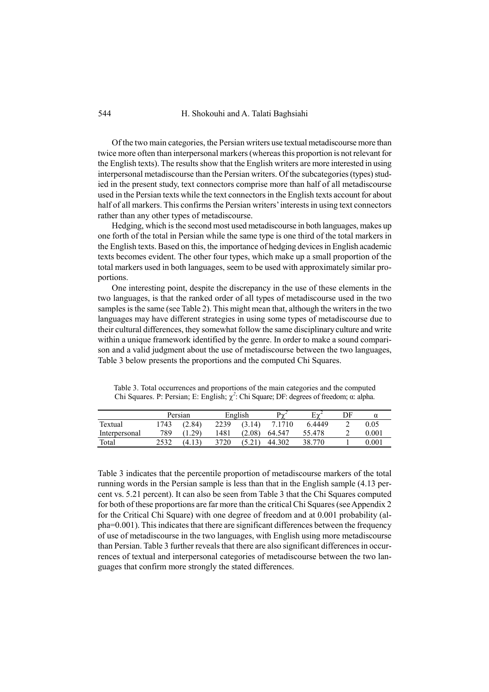Of the two main categories, the Persian writers use textual metadiscourse more than twice more often than interpersonal markers (whereas this proportion is not relevant for the English texts). The results show that the English writers are more interested in using interpersonal metadiscourse than the Persian writers. Of the subcategories (types) studied in the present study, text connectors comprise more than half of all metadiscourse used in the Persian texts while the text connectors in the English texts account for about half of all markers. This confirms the Persian writers' interests in using text connectors rather than any other types of metadiscourse.

Hedging, which is the second most used metadiscourse in both languages, makes up one forth of the total in Persian while the same type is one third of the total markers in the English texts. Based on this, the importance of hedging devices in English academic texts becomes evident. The other four types, which make up a small proportion of the total markers used in both languages, seem to be used with approximately similar proportions.

One interesting point, despite the discrepancy in the use of these elements in the two languages, is that the ranked order of all types of metadiscourse used in the two samples is the same (see Table 2). This might mean that, although the writers in the two languages may have different strategies in using some types of metadiscourse due to their cultural differences, they somewhat follow the same disciplinary culture and write within a unique framework identified by the genre. In order to make a sound comparison and a valid judgment about the use of metadiscourse between the two languages, Table 3 below presents the proportions and the computed Chi Squares.

|               |      | Persian |      | English | $\mathbf{D}_{\mathbf{A}}$ | $\mathrm{F}\gamma^2$ | DF |           |
|---------------|------|---------|------|---------|---------------------------|----------------------|----|-----------|
| Textual       | 1743 | (2.84)  | 2239 | (3.14)  | 7.1710                    | 6.4449               |    | 0.05      |
| Interpersonal | 789  | .29)    | 1481 | (2.08)  | 64.547                    | 55.478               |    | 0.001     |
| Total         | 2532 | (4.13)  | 3720 |         | 44.302                    | 38.770               |    | $0.001\,$ |

Table 3. Total occurrences and proportions of the main categories and the computed Chi Squares. P: Persian; E: English; χ *2* : Chi Square; DF: degrees of freedom; α: alpha.

Table 3 indicates that the percentile proportion of metadiscourse markers of the total running words in the Persian sample is less than that in the English sample (4.13 percent vs. 5.21 percent). It can also be seen from Table 3 that the Chi Squares computed for both of these proportions are far more than the critical Chi Squares (see Appendix 2 for the Critical Chi Square) with one degree of freedom and at 0.001 probability (alpha=0.001). This indicates that there are significant differences between the frequency of use of metadiscourse in the two languages, with English using more metadiscourse than Persian. Table 3 further reveals that there are also significant differences in occurrences of textual and interpersonal categories of metadiscourse between the two languages that confirm more strongly the stated differences.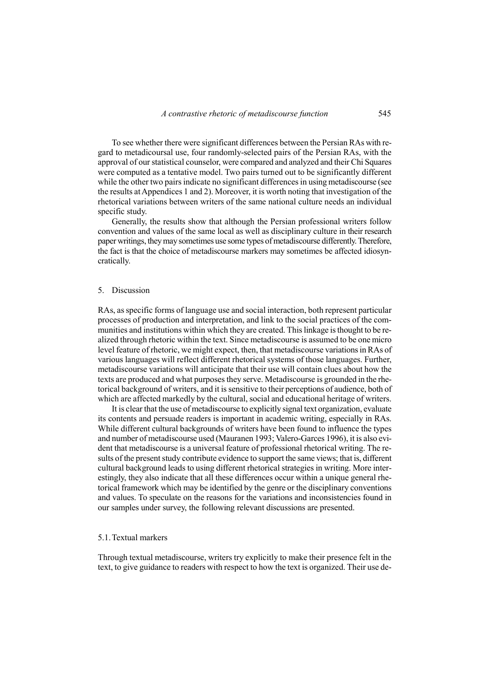To see whether there were significant differences between the Persian RAs with regard to metadicoursal use, four randomly-selected pairs of the Persian RAs, with the approval of our statistical counselor, were compared and analyzed and their Chi Squares were computed as a tentative model. Two pairs turned out to be significantly different while the other two pairs indicate no significant differences in using metadiscourse (see the results at Appendices 1 and 2). Moreover, it is worth noting that investigation of the rhetorical variations between writers of the same national culture needs an individual specific study.

Generally, the results show that although the Persian professional writers follow convention and values of the same local as well as disciplinary culture in their research paper writings, they may sometimes use some types of metadiscourse differently. Therefore, the fact is that the choice of metadiscourse markers may sometimes be affected idiosyncratically.

#### 5. Discussion

RAs, as specific forms of language use and social interaction, both represent particular processes of production and interpretation, and link to the social practices of the communities and institutions within which they are created. This linkage is thought to be realized through rhetoric within the text. Since metadiscourse is assumed to be one micro level feature of rhetoric, we might expect, then, that metadiscourse variations in RAs of various languages will reflect different rhetorical systems of those languages. Further, metadiscourse variations will anticipate that their use will contain clues about how the texts are produced and what purposes they serve. Metadiscourse is grounded in the rhetorical background of writers, and it is sensitive to their perceptions of audience, both of which are affected markedly by the cultural, social and educational heritage of writers.

It is clear that the use of metadiscourse to explicitly signal text organization, evaluate its contents and persuade readers is important in academic writing, especially in RAs. While different cultural backgrounds of writers have been found to influence the types and number of metadiscourse used (Mauranen 1993; Valero-Garces 1996), it is also evident that metadiscourse is a universal feature of professional rhetorical writing. The results of the present study contribute evidence to support the same views; that is, different cultural background leads to using different rhetorical strategies in writing. More interestingly, they also indicate that all these differences occur within a unique general rhetorical framework which may be identified by the genre or the disciplinary conventions and values. To speculate on the reasons for the variations and inconsistencies found in our samples under survey, the following relevant discussions are presented.

## 5.1. Textual markers

Through textual metadiscourse, writers try explicitly to make their presence felt in the text, to give guidance to readers with respect to how the text is organized. Their use de-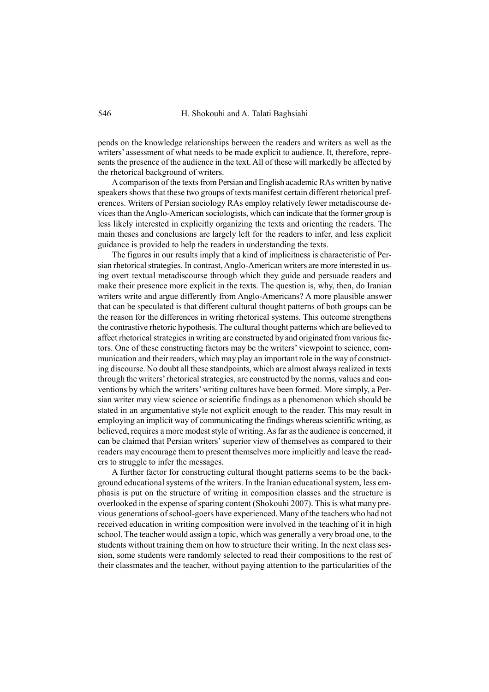pends on the knowledge relationships between the readers and writers as well as the writers' assessment of what needs to be made explicit to audience. It, therefore, represents the presence of the audience in the text. All of these will markedly be affected by the rhetorical background of writers.

A comparison of the texts from Persian and English academic RAs written by native speakers shows that these two groups of texts manifest certain different rhetorical preferences. Writers of Persian sociology RAs employ relatively fewer metadiscourse devices than the Anglo-American sociologists, which can indicate that the former group is less likely interested in explicitly organizing the texts and orienting the readers. The main theses and conclusions are largely left for the readers to infer, and less explicit guidance is provided to help the readers in understanding the texts.

The figures in our results imply that a kind of implicitness is characteristic of Persian rhetorical strategies. In contrast, Anglo-American writers are more interested in using overt textual metadiscourse through which they guide and persuade readers and make their presence more explicit in the texts. The question is, why, then, do Iranian writers write and argue differently from Anglo-Americans? A more plausible answer that can be speculated is that different cultural thought patterns of both groups can be the reason for the differences in writing rhetorical systems. This outcome strengthens the contrastive rhetoric hypothesis. The cultural thought patterns which are believed to affect rhetorical strategies in writing are constructed by and originated from various factors. One of these constructing factors may be the writers' viewpoint to science, communication and their readers, which may play an important role in the way of constructing discourse. No doubt all these standpoints, which are almost always realized in texts through the writers' rhetorical strategies, are constructed by the norms, values and conventions by which the writers' writing cultures have been formed. More simply, a Persian writer may view science or scientific findings as a phenomenon which should be stated in an argumentative style not explicit enough to the reader. This may result in employing an implicit way of communicating the findings whereas scientific writing, as believed, requires a more modest style of writing. As far as the audience is concerned, it can be claimed that Persian writers' superior view of themselves as compared to their readers may encourage them to present themselves more implicitly and leave the readers to struggle to infer the messages.

A further factor for constructing cultural thought patterns seems to be the background educational systems of the writers. In the Iranian educational system, less emphasis is put on the structure of writing in composition classes and the structure is overlooked in the expense of sparing content (Shokouhi 2007). This is what many previous generations of school-goers have experienced. Many of the teachers who had not received education in writing composition were involved in the teaching of it in high school. The teacher would assign a topic, which was generally a very broad one, to the students without training them on how to structure their writing. In the next class session, some students were randomly selected to read their compositions to the rest of their classmates and the teacher, without paying attention to the particularities of the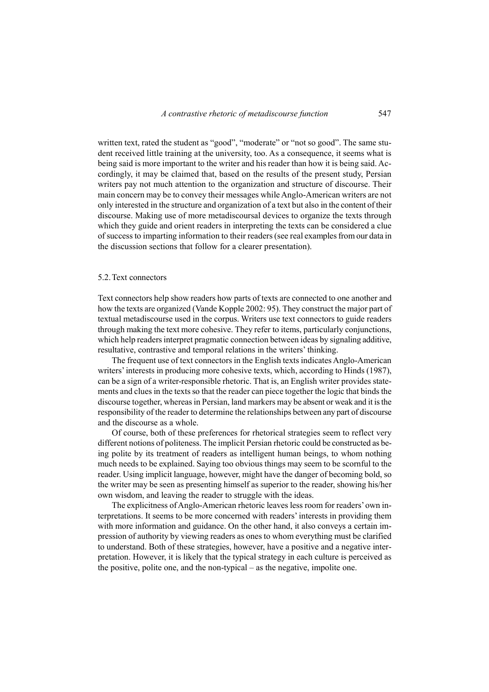written text, rated the student as "good", "moderate" or "not so good". The same student received little training at the university, too. As a consequence, it seems what is being said is more important to the writer and his reader than how it is being said. Accordingly, it may be claimed that, based on the results of the present study, Persian writers pay not much attention to the organization and structure of discourse. Their main concern may be to convey their messages while Anglo-American writers are not only interested in the structure and organization of a text but also in the content of their discourse. Making use of more metadiscoursal devices to organize the texts through which they guide and orient readers in interpreting the texts can be considered a clue of success to imparting information to their readers (see real examples from our data in the discussion sections that follow for a clearer presentation).

# 5.2. Text connectors

Text connectors help show readers how parts of texts are connected to one another and how the texts are organized (Vande Kopple 2002: 95). They construct the major part of textual metadiscourse used in the corpus. Writers use text connectors to guide readers through making the text more cohesive. They refer to items, particularly conjunctions, which help readers interpret pragmatic connection between ideas by signaling additive, resultative, contrastive and temporal relations in the writers' thinking.

The frequent use of text connectors in the English texts indicates Anglo-American writers' interests in producing more cohesive texts, which, according to Hinds (1987), can be a sign of a writer-responsible rhetoric. That is, an English writer provides statements and clues in the texts so that the reader can piece together the logic that binds the discourse together, whereas in Persian, land markers may be absent or weak and it is the responsibility of the reader to determine the relationships between any part of discourse and the discourse as a whole.

Of course, both of these preferences for rhetorical strategies seem to reflect very different notions of politeness. The implicit Persian rhetoric could be constructed as being polite by its treatment of readers as intelligent human beings, to whom nothing much needs to be explained. Saying too obvious things may seem to be scornful to the reader. Using implicit language, however, might have the danger of becoming bold, so the writer may be seen as presenting himself as superior to the reader, showing his/her own wisdom, and leaving the reader to struggle with the ideas.

The explicitness of Anglo-American rhetoric leaves less room for readers' own interpretations. It seems to be more concerned with readers' interests in providing them with more information and guidance. On the other hand, it also conveys a certain impression of authority by viewing readers as ones to whom everything must be clarified to understand. Both of these strategies, however, have a positive and a negative interpretation. However, it is likely that the typical strategy in each culture is perceived as the positive, polite one, and the non-typical – as the negative, impolite one.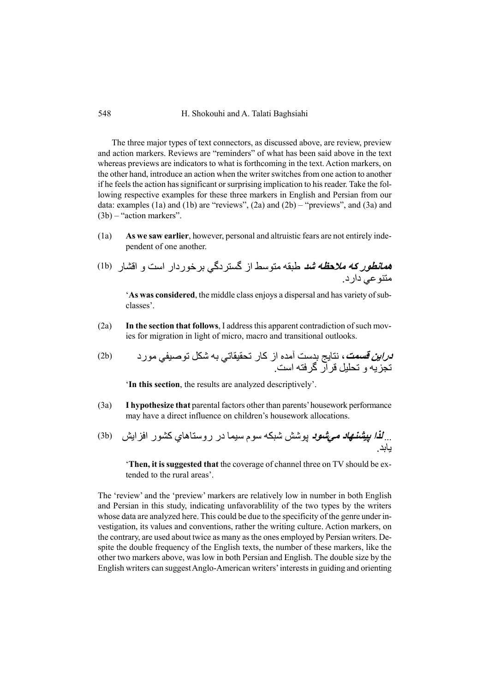The three major types of text connectors, as discussed above, are review, preview and action markers. Reviews are "reminders" of what has been said above in the text whereas previews are indicators to what is forthcoming in the text. Action markers, on the other hand, introduce an action when the writer switches from one action to another if he feels the action has significant or surprising implication to his reader. Take the following respective examples for these three markers in English and Persian from our data: examples  $(1a)$  and  $(1b)$  are "reviews",  $(2a)$  and  $(2b)$  – "previews", and  $(3a)$  and  $(3b)$  – "action markers".

- (1a) **As we saw earlier**, however, personal and altruistic fears are not entirely independent of one another.
- **ھمانطور كه محظه شد** طبقه متوسط از گستردگي برخوردار است و اقشار (1b) متنوعي دارد .

'**As was considered**, the middle class enjoys a dispersal and has variety of subclasses'.

- (2a) **In the section that follows**, I address this apparent contradiction of such movies for migration in light of micro, macro and transitional outlooks.
- **دراين قسمت**، نتايج بدست آمده از كار تحقيقاتي به شكل توصيفي مورد تجزيه و تحليل قرار گرفته است . (2b)

'**In this section**, the results are analyzed descriptively'.

(3a) **I hypothesize that** parental factors other than parents' housework performance may have a direct influence on children's housework allocations.

... **لذا پيشنھاد ميشود** پوشش شبكه سوم سيما در روستاھاي كشور افزايش يابد . (3b)

'**Then, it is suggested that** the coverage of channel three on TV should be extended to the rural areas'.

The 'review' and the 'preview' markers are relatively low in number in both English and Persian in this study, indicating unfavorablility of the two types by the writers whose data are analyzed here. This could be due to the specificity of the genre under investigation, its values and conventions, rather the writing culture. Action markers, on the contrary, are used about twice as many as the ones employed by Persian writers. Despite the double frequency of the English texts, the number of these markers, like the other two markers above, was low in both Persian and English. The double size by the English writers can suggest Anglo-American writers' interests in guiding and orienting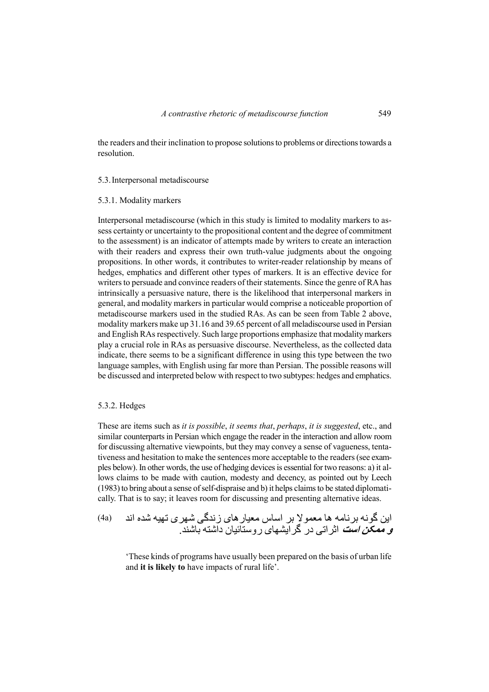the readers and their inclination to propose solutions to problems or directions towards a resolution.

## 5.3. Interpersonal metadiscourse

#### 5.3.1. Modality markers

Interpersonal metadiscourse (which in this study is limited to modality markers to assess certainty or uncertainty to the propositional content and the degree of commitment to the assessment) is an indicator of attempts made by writers to create an interaction with their readers and express their own truth-value judgments about the ongoing propositions. In other words, it contributes to writer-reader relationship by means of hedges, emphatics and different other types of markers. It is an effective device for writers to persuade and convince readers of their statements. Since the genre of RA has intrinsically a persuasive nature, there is the likelihood that interpersonal markers in general, and modality markers in particular would comprise a noticeable proportion of metadiscourse markers used in the studied RAs. As can be seen from Table 2 above, modality markers make up 31.16 and 39.65 percent of all meladiscourse used in Persian and English RAs respectively. Such large proportions emphasize that modality markers play a crucial role in RAs as persuasive discourse. Nevertheless, as the collected data indicate, there seems to be a significant difference in using this type between the two language samples, with English using far more than Persian. The possible reasons will be discussed and interpreted below with respect to two subtypes: hedges and emphatics.

### 5.3.2. Hedges

These are items such as *it is possible*, *it seems that*, *perhaps*, *it is suggested*, etc., and similar counterparts in Persian which engage the reader in the interaction and allow room for discussing alternative viewpoints, but they may convey a sense of vagueness, tentativeness and hesitation to make the sentences more acceptable to the readers (see examples below). In other words, the use of hedging devices is essential for two reasons: a) it allows claims to be made with caution, modesty and decency, as pointed out by Leech (1983) to bring about a sense of self-dispraise and b) it helps claims to be stated diplomatically. That is to say; it leaves room for discussing and presenting alternative ideas.

اين گونه برنامه ھا معمو بر اساس معيارھای زندگی شھری تھيه شده اند **و ممکن است** اثراتی در گرايشھای روستائيان داشته باشند . (4a)

'These kinds of programs have usually been prepared on the basis of urban life and **it is likely to** have impacts of rural life'.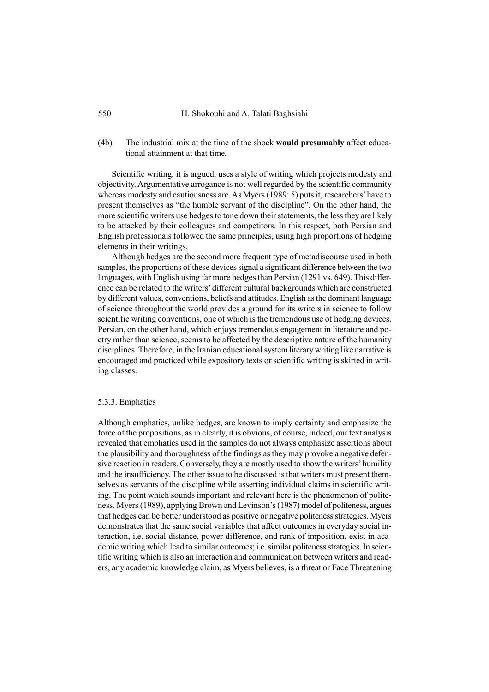(4b) The industrial mix at the time of the shock **would presumably** affect educational attainment at that time*.*

Scientific writing, it is argued, uses a style of writing which projects modesty and objectivity. Argumentative arrogance is not well regarded by the scientific community whereas modesty and cautiousness are. As Myers (1989: 5) puts it, researchers' have to present themselves as "the humble servant of the discipline". On the other hand, the more scientific writers use hedges to tone down their statements, the less they are likely to be attacked by their colleagues and competitors. In this respect, both Persian and English professionals followed the same principles, using high proportions of hedging elements in their writings.

Although hedges are the second more frequent type of metadiseourse used in both samples, the proportions of these devices signal a significant difference between the two languages, with English using far more hedges than Persian (1291 vs. 649). This difference can be related to the writers' different cultural backgrounds which are constructed by different values, conventions, beliefs and attitudes. English as the dominant language of science throughout the world provides a ground for its writers in science to follow scientific writing conventions, one of which is the tremendous use of hedging devices. Persian, on the other hand, which enjoys tremendous engagement in literature and poetry rather than science, seems to be affected by the descriptive nature of the humanity disciplines. Therefore, in the Iranian educational system literary writing like narrative is encouraged and practiced while expository texts or scientific writing is skirted in writing classes.

## 5.3.3. Emphatics

Although emphatics, unlike hedges, are known to imply certainty and emphasize the force of the propositions, as in clearly, it is obvious, of course, indeed, our text analysis revealed that emphatics used in the samples do not always emphasize assertions about the plausibility and thoroughness of the findings as they may provoke a negative defensive reaction in readers. Conversely, they are mostly used to show the writers' humility and the insufficiency. The other issue to be discussed is that writers must present themselves as servants of the discipline while asserting individual claims in scientific writing. The point which sounds important and relevant here is the phenomenon of politeness. Myers (1989), applying Brown and Levinson's (1987) model of politeness, argues that hedges can be better understood as positive or negative politeness strategies. Myers demonstrates that the same social variables that affect outcomes in everyday social interaction, i.e. social distance, power difference, and rank of imposition, exist in academic writing which lead to similar outcomes; i.e. similar politeness strategies. In scientific writing which is also an interaction and communication between writers and readers, any academic knowledge claim, as Myers believes, is a threat or Face Threatening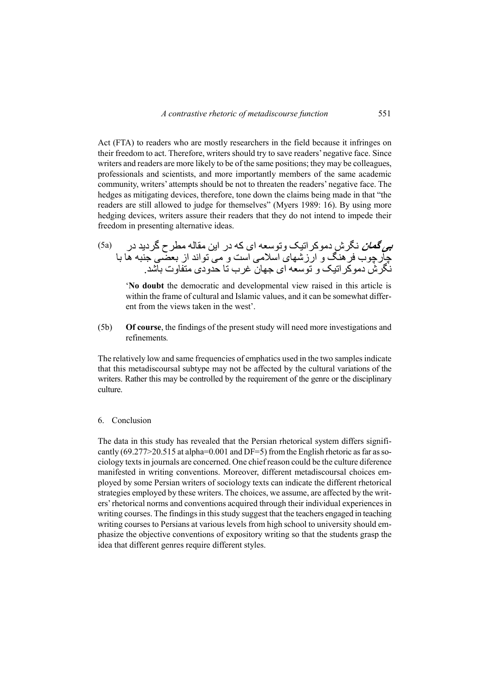Act (FTA) to readers who are mostly researchers in the field because it infringes on their freedom to act. Therefore, writers should try to save readers' negative face. Since writers and readers are more likely to be of the same positions; they may be colleagues, professionals and scientists, and more importantly members of the same academic community, writers' attempts should be not to threaten the readers' negative face. The hedges as mitigating devices, therefore, tone down the claims being made in that "the readers are still allowed to judge for themselves" (Myers 1989: 16). By using more hedging devices, writers assure their readers that they do not intend to impede their freedom in presenting alternative ideas.

**بی گمان** نگرش دموکراتيک وتوسعه ای که در اين مقاله مطرح گرديد در چارچوب فرھنگ و ارزشھای اسمی است و می تواند از بعضی جنبه ھا با نگرش دموکراتيک و توسعه ای جھان غرب تا حدودی متفاوت باشد . (5a)

'**Ao doubt** the democratic and developmental view raised in this article is within the frame of cultural and Islamic values, and it can be somewhat different from the views taken in the west'.

(5b) **Of course**, the findings of the present study will need more investigations and refinements*.*

The relatively low and same frequencies of emphatics used in the two samples indicate that this metadiscoursal subtype may not be affected by the cultural variations of the writers. Rather this may be controlled by the requirement of the genre or the disciplinary culture.

### 6. Conclusion

The data in this study has revealed that the Persian rhetorical system differs significantly  $(69.277 > 20.515$  at alpha=0.001 and DF=5) from the English rhetoric as far as sociology texts in journals are concerned. One chief reason could be the culture diference manifested in writing conventions. Moreover, different metadiscoursal choices employed by some Persian writers of sociology texts can indicate the different rhetorical strategies employed by these writers. The choices, we assume, are affected by the writers' rhetorical norms and conventions acquired through their individual experiences in writing courses. The findings in this study suggest that the teachers engaged in teaching writing courses to Persians at various levels from high school to university should emphasize the objective conventions of expository writing so that the students grasp the idea that different genres require different styles.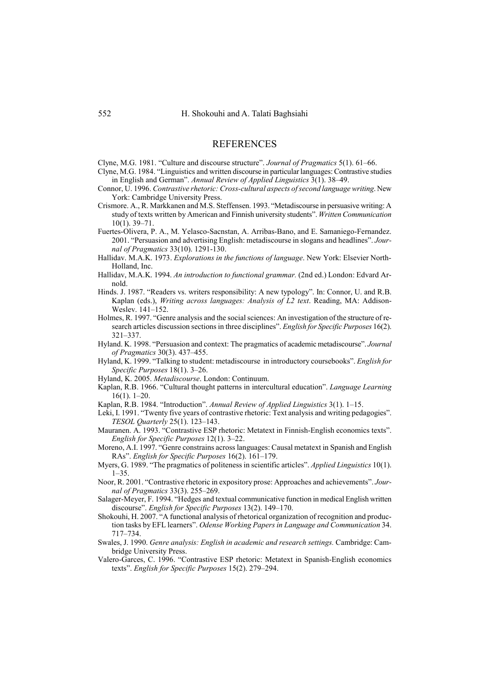#### **REFERENCES**

- Clyne, M.G. 1981. "Culture and discourse structure". *Journal of Pragmatics* 5(1). 61–66.
- Clyne, M.G. 1984. "Linguistics and written discourse in particular languages: Contrastive studies in English and German". *Annual Review of Applied Linguistics* 3(1). 38–49.
- Connor, U. 1996. *Contrastive rhetoric: Cross-cultural aspects of second language writing*. New York: Cambridge University Press.
- Crismore. A., R. Markkanen and M.S. Steffensen. 1993. "Metadiscourse in persuasive writing: A study of texts written by American and Finnish university students". *Written Communication*  10(1). 39–71.
- Fuertes-Olivera, P. A., M. Yelasco-Sacnstan, A. Arribas-Bano, and E. Samaniego-Fernandez. 2001. "Persuasion and advertising English: metadiscourse in slogans and headlines". *Journal of Pragmatics* 33(10). 1291-130.
- Hallidav. M.A.K. 1973. *Explorations in the functions of language*. New York: Elsevier North-Holland, Inc.
- Hallidav, M.A.K. 1994. *An introduction to functional grammar.* (2nd ed.) London: Edvard Arnold.
- Hinds. J. 1987. "Readers vs. writers responsibility: A new typology". In: Connor, U. and R.B. Kaplan (eds.), *Writing across languages: Analysis of L2 text*. Reading, MA: Addison-Weslev. 141–152.
- Holmes, R. 1997. "Genre analysis and the social sciences: An investigation of the structure of research articles discussion sections in three disciplines". *English for Specific Purposes* 16(2). 321–337.
- Hyland. K. 1998. "Persuasion and context: The pragmatics of academic metadiscourse". *Journal of Pragmatics* 30(3). 437–455.
- Hyland, K. 1999. "Talking to student: metadiscourse in introductory coursebooks". *English for Specific Purposes* 18(1). 3–26.
- Hyland, K. 2005. *Metadiscourse*. London: Continuum.
- Kaplan, R.B. 1966. "Cultural thought patterns in intercultural education". *Language Learning*  16(1). 1–20.
- Kaplan, R.B. 1984. "Introduction". *Annual Review of Applied Linguistics* 3(1). 1–15.
- Leki, I. 1991. "Twenty five years of contrastive rhetoric: Text analysis and writing pedagogies". *TESOL Quarterly* 25(1). 123–143.
- Mauranen. A. 1993. "Contrastive ESP rhetoric: Metatext in Finnish-English economics texts". *English for Specific Purposes* 12(1). 3–22.
- Moreno, A.I. 1997. "Genre constrains across languages: Causal metatext in Spanish and English RAs". *English for Specific Purposes* 16(2). 161–179.
- Myers, G. 1989. "The pragmatics of politeness in scientific articles". *Applied Linguistics* 10(1). 1–35.
- Noor, R. 2001. "Contrastive rhetoric in expository prose: Approaches and achievements". *Journal of Pragmatics* 33(3). 255–269.
- Salager-Meyer, F. 1994. "Hedges and textual communicative function in medical English written discourse". *English for Specific Purposes* 13(2). 149–170.
- Shokouhi, H. 2007. "A functional analysis of rhetorical organization of recognition and production tasks by EFL learners". *Odense Working Papers in Language and Communication* 34. 717–734.
- Swales, J. 1990. *Genre analysis: English in academic and research settings*. Cambridge: Cambridge University Press.
- Valero-Garces, C. 1996. "Contrastive ESP rhetoric: Metatext in Spanish-English economics texts". *English for Specific Purposes* 15(2). 279–294.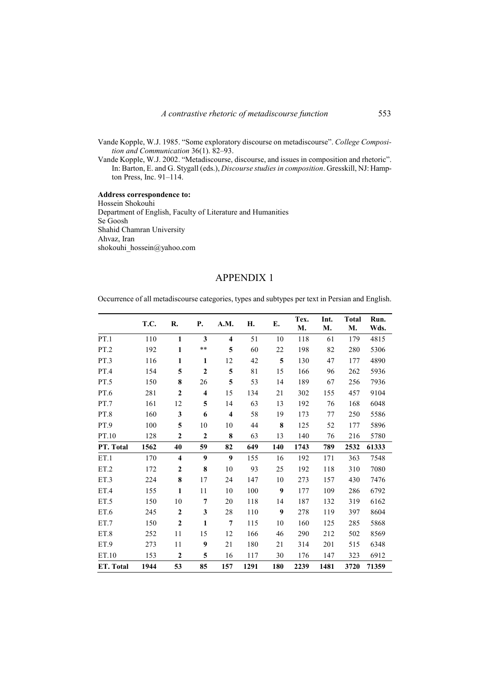Vande Kopple, W.J. 1985. "Some exploratory discourse on metadiscourse". *College Composition and Communication* 36(1). 82–93.

Vande Kopple, W.J. 2002. "Metadiscourse, discourse, and issues in composition and rhetoric". In: Barton, E. and G. Stygall (eds.), *Discourse studies in composition*. Gresskill, NJ: Hampton Press, Inc. 91–114.

# **Address correspondence to:**

Hossein Shokouhi Department of English, Faculty of Literature and Humanities Se Goosh Shahid Chamran University Ahvaz, Iran shokouhi\_hossein@yahoo.com

# APPENDIX 1

Occurrence of all metadiscourse categories, types and subtypes per text in Persian and English.

|           | T.C. | R.                      | Р.               | A.M.                    | Н.   | Е.  | Tex.<br>M. | Int.<br>М. | <b>Total</b><br>М. | Run.<br>Wds. |
|-----------|------|-------------------------|------------------|-------------------------|------|-----|------------|------------|--------------------|--------------|
| PT.1      | 110  | $\mathbf{1}$            | $\mathbf{3}$     | $\overline{\mathbf{4}}$ | 51   | 10  | 118        | 61         | 179                | 4815         |
| PT.2      | 192  | $\mathbf{1}$            | **               | 5                       | 60   | 22  | 198        | 82         | 280                | 5306         |
| PT.3      | 116  | $\mathbf{1}$            | 1                | 12                      | 42   | 5   | 130        | 47         | 177                | 4890         |
| PT.4      | 154  | 5                       | $\boldsymbol{2}$ | 5                       | 81   | 15  | 166        | 96         | 262                | 5936         |
| PT.5      | 150  | 8                       | 26               | 5                       | 53   | 14  | 189        | 67         | 256                | 7936         |
| PT.6      | 281  | $\mathbf{2}$            | 4                | 15                      | 134  | 21  | 302        | 155        | 457                | 9104         |
| PT.7      | 161  | 12                      | 5                | 14                      | 63   | 13  | 192        | 76         | 168                | 6048         |
| PT.8      | 160  | 3                       | 6                | $\overline{\bf{4}}$     | 58   | 19  | 173        | 77         | 250                | 5586         |
| PT.9      | 100  | 5                       | 10               | 10                      | 44   | 8   | 125        | 52         | 177                | 5896         |
| PT.10     | 128  | $\mathbf{2}$            | $\overline{2}$   | 8                       | 63   | 13  | 140        | 76         | 216                | 5780         |
| PT. Total | 1562 | 40                      | 59               | 82                      | 649  | 140 | 1743       | 789        | 2532               | 61333        |
| ET.1      | 170  | $\overline{\mathbf{4}}$ | 9                | 9                       | 155  | 16  | 192        | 171        | 363                | 7548         |
| ET.2      | 172  | $\overline{2}$          | 8                | $10\,$                  | 93   | 25  | 192        | 118        | 310                | 7080         |
| ET.3      | 224  | 8                       | 17               | 24                      | 147  | 10  | 273        | 157        | 430                | 7476         |
| ET.4      | 155  | 1                       | 11               | 10                      | 100  | 9   | 177        | 109        | 286                | 6792         |
| ET.5      | 150  | 10                      | 7                | 20                      | 118  | 14  | 187        | 132        | 319                | 6162         |
| ET.6      | 245  | $\mathbf{2}$            | $\mathbf{3}$     | 28                      | 110  | 9   | 278        | 119        | 397                | 8604         |
| ET.7      | 150  | $\mathbf{2}$            | 1                | $\overline{7}$          | 115  | 10  | 160        | 125        | 285                | 5868         |
| ET.8      | 252  | 11                      | 15               | 12                      | 166  | 46  | 290        | 212        | 502                | 8569         |
| ET.9      | 273  | 11                      | 9                | 21                      | 180  | 21  | 314        | 201        | 515                | 6348         |
| ET.10     | 153  | $\mathbf{2}$            | 5                | 16                      | 117  | 30  | 176        | 147        | 323                | 6912         |
| ET. Total | 1944 | 53                      | 85               | 157                     | 1291 | 180 | 2239       | 1481       | 3720               | 71359        |